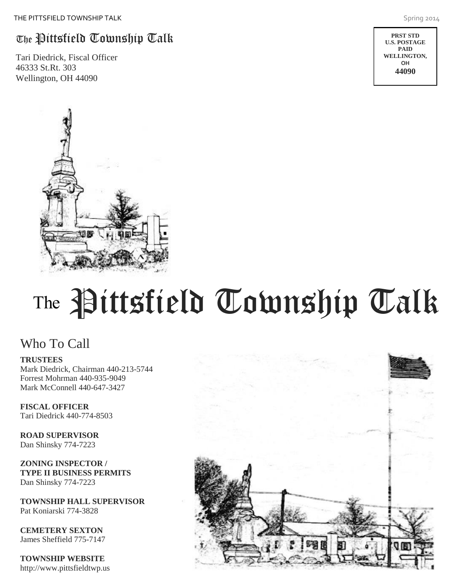# The Pittsfield Township Talk

Tari Diedrick, Fiscal Officer 46333 St.Rt. 303 Wellington, OH 44090

旬囲

# T

## Who To Call

#### **TRUSTEES**

Mark Diedrick, Chairman 440-213-5744 Forrest Mohrman 440-935-9049 Mark McConnell 440-647-3427

**FISCAL OFFICER** Tari Diedrick 440-774-8503

**ROAD SUPERVISOR** Dan Shinsky 774-7223

**ZONING INSPECTOR / TYPE II BUSINESS PERMITS** Dan Shinsky 774-7223

**TOWNSHIP HALL SUPERVISOR** Pat Koniarski 774-3828

**CEMETERY SEXTON** James Sheffield 775-7147

**TOWNSHIP WEBSITE** http://www.pittsfieldtwp.us

Pittsfield Township Talk





**PRST STD U.S. POSTAGE PAID WELLINGTON, OH 44090**

PERMIT #66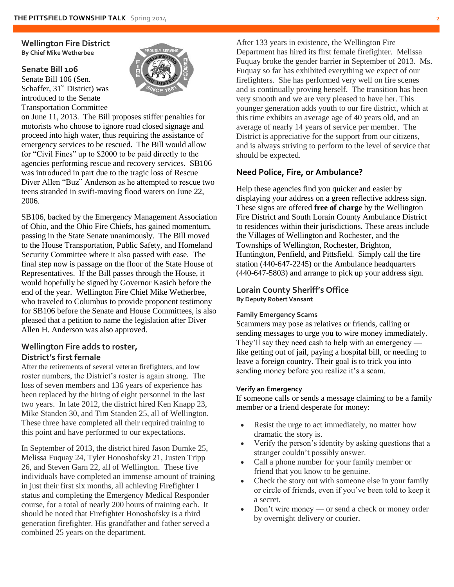**Wellington Fire District By Chief Mike Wetherbee** 

#### **Senate Bill 106**

Senate Bill 106 (Sen. Schaffer,  $31<sup>st</sup>$  District) was introduced to the Senate Transportation Committee



on June 11, 2013. The Bill proposes stiffer penalties for motorists who choose to ignore road closed signage and proceed into high water, thus requiring the assistance of emergency services to be rescued. The Bill would allow for "Civil Fines" up to \$2000 to be paid directly to the agencies performing rescue and recovery services. SB106 was introduced in part due to the tragic loss of Rescue Diver Allen "Buz" Anderson as he attempted to rescue two teens stranded in swift-moving flood waters on June 22, 2006.

SB106, backed by the Emergency Management Association of Ohio, and the Ohio Fire Chiefs, has gained momentum, passing in the State Senate unanimously. The Bill moved to the House Transportation, Public Safety, and Homeland Security Committee where it also passed with ease. The final step now is passage on the floor of the State House of Representatives. If the Bill passes through the House, it would hopefully be signed by Governor Kasich before the end of the year. Wellington Fire Chief Mike Wetherbee, who traveled to Columbus to provide proponent testimony for SB106 before the Senate and House Committees, is also pleased that a petition to name the legislation after Diver Allen H. Anderson was also approved.

#### **Wellington Fire adds to roster, District's first female**

After the retirements of several veteran firefighters, and low roster numbers, the District's roster is again strong. The loss of seven members and 136 years of experience has been replaced by the hiring of eight personnel in the last two years. In late 2012, the district hired Ken Knapp 23, Mike Standen 30, and Tim Standen 25, all of Wellington. These three have completed all their required training to this point and have performed to our expectations.

In September of 2013, the district hired Jason Dumke 25, Melissa Fuquay 24, Tyler Honoshofsky 21, Justen Tripp 26, and Steven Garn 22, all of Wellington. These five individuals have completed an immense amount of training in just their first six months, all achieving Firefighter I status and completing the Emergency Medical Responder course, for a total of nearly 200 hours of training each. It should be noted that Firefighter Honoshofsky is a third generation firefighter. His grandfather and father served a combined 25 years on the department.

After 133 years in existence, the Wellington Fire Department has hired its first female firefighter. Melissa Fuquay broke the gender barrier in September of 2013. Ms. Fuquay so far has exhibited everything we expect of our firefighters. She has performed very well on fire scenes and is continually proving herself. The transition has been very smooth and we are very pleased to have her. This younger generation adds youth to our fire district, which at this time exhibits an average age of 40 years old, and an average of nearly 14 years of service per member. The District is appreciative for the support from our citizens, and is always striving to perform to the level of service that should be expected.

#### **Need Police, Fire, or Ambulance?**

Help these agencies find you quicker and easier by displaying your address on a green reflective address sign. These signs are offered **free of charge** by the Wellington Fire District and South Lorain County Ambulance District to residences within their jurisdictions. These areas include the Villages of Wellington and Rochester, and the Townships of Wellington, Rochester, Brighton, Huntington, Penfield, and Pittsfield. Simply call the fire station (440-647-2245) or the Ambulance headquarters (440-647-5803) and arrange to pick up your address sign.

#### **Lorain County Sheriff's Office**

**By Deputy Robert Vansant** 

#### **Family Emergency Scams**

Scammers may pose as relatives or friends, calling or sending messages to urge you to wire money immediately. They'll say they need cash to help with an emergency – like getting out of jail, paying a hospital bill, or needing to leave a foreign country. Their goal is to trick you into sending money before you realize it's a scam.

#### **Verify an Emergency**

If someone calls or sends a message claiming to be a family member or a friend desperate for money:

- Resist the urge to act immediately, no matter how dramatic the story is.
- Verify the person's identity by asking questions that a stranger couldn't possibly answer.
- Call a phone number for your family member or friend that you know to be genuine.
- Check the story out with someone else in your family or circle of friends, even if you've been told to keep it a secret.
- Don't wire money or send a check or money order by overnight delivery or courier.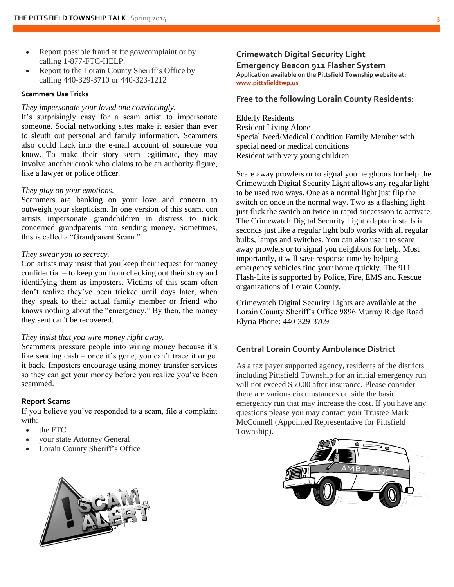- Report possible fraud at ftc.gov/complaint or by calling 1-877-FTC-HELP.
- Report to the Lorain County Sheriff's Office by calling 440-329-3710 or 440-323-1212

#### **Scammers Use Tricks**

#### *They impersonate your loved one convincingly.*

It's surprisingly easy for a scam artist to impersonate someone. Social networking sites make it easier than ever to sleuth out personal and family information. Scammers also could hack into the e-mail account of someone you know. To make their story seem legitimate, they may involve another crook who claims to be an authority figure, like a lawyer or police officer.

#### *They play on your emotions*.

Scammers are banking on your love and concern to outweigh your skepticism. In one version of this scam, con artists impersonate grandchildren in distress to trick concerned grandparents into sending money. Sometimes, this is called a "Grandparent Scam."

#### *They swear you to secrecy.*

Con artists may insist that you keep their request for money confidential – to keep you from checking out their story and identifying them as imposters. Victims of this scam often don't realize they've been tricked until days later, when they speak to their actual family member or friend who knows nothing about the "emergency." By then, the money they sent can't be recovered.

#### *They insist that you wire money right away.*

Scammers pressure people into wiring money because it's like sending cash – once it's gone, you can't trace it or get it back. Imposters encourage using money transfer services so they can get your money before you realize you've been scammed.

#### **Report Scams**

If you believe you've responded to a scam, file a complaint with:

- the [FTC](http://www.consumer.ftc.gov/articles/0341-file-complaint-ftc)
- your [state Attorney General](http://www.naag.org/current-attorneys-general.php)
- Lorain County Sheriff's Office



#### **Crimewatch Digital Security Light Emergency Beacon 911 Flasher System Application available on the Pittsfield Township website at: [www.pittsfieldtwp.us](http://www.pittsfieldtwp.us/)**

#### **Free to the following Lorain County Residents:**

Elderly Residents Resident Living Alone Special Need/Medical Condition Family Member with special need or medical conditions Resident with very young children

Scare away prowlers or to signal you neighbors for help the Crimewatch Digital Security Light allows any regular light to be used two ways. One as a normal light just flip the switch on once in the normal way. Two as a flashing light just flick the switch on twice in rapid succession to activate. The Crimewatch Digital Security Light adapter installs in seconds just like a regular light bulb works with all regular bulbs, lamps and switches. You can also use it to scare away prowlers or to signal you neighbors for help. Most importantly, it will save response time by helping emergency vehicles find your home quickly. The 911 Flash-Lite is supported by Police, Fire, EMS and Rescue organizations of Lorain County.

Crimewatch Digital Security Lights are available at the Lorain County Sheriff's Office 9896 Murray Ridge Road Elyria Phone: 440-329-3709

#### **Central Lorain County Ambulance District**

As a tax payer supported agency, residents of the districts including Pittsfield Township for an initial emergency run will not exceed \$50.00 after insurance. Please consider there are various circumstances outside the basic emergency run that may increase the cost. If you have any questions please you may contact your Trustee Mark McConnell (Appointed Representative for Pittsfield Township).

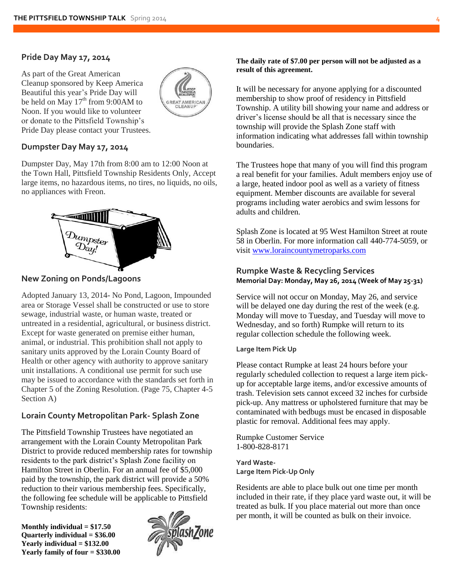#### **Pride Day May 17, 2014**

As part of the Great American Cleanup sponsored by Keep America Beautiful this year's Pride Day will be held on May  $17<sup>th</sup>$  from 9:00AM to Noon. If you would like to volunteer or donate to the Pittsfield Township's Pride Day please contact your Trustees.



#### **Dumpster Day May 17, 2014**

Dumpster Day, May 17th from 8:00 am to 12:00 Noon at the Town Hall, Pittsfield Township Residents Only, Accept large items, no hazardous items, no tires, no liquids, no oils, no appliances with Freon.



**New Zoning on Ponds/Lagoons**

Adopted January 13, 2014- No Pond, Lagoon, Impounded area or Storage Vessel shall be constructed or use to store sewage, industrial waste, or human waste, treated or untreated in a residential, agricultural, or business district. Except for waste generated on premise either human, animal, or industrial. This prohibition shall not apply to sanitary units approved by the Lorain County Board of Health or other agency with authority to approve sanitary unit installations. A conditional use permit for such use may be issued to accordance with the standards set forth in Chapter 5 of the Zoning Resolution. (Page 75, Chapter 4-5 Section A)

#### **Lorain County Metropolitan Park- Splash Zone**

The Pittsfield Township Trustees have negotiated an arrangement with the Lorain County Metropolitan Park District to provide reduced membership rates for township residents to the park district's Splash Zone facility on Hamilton Street in Oberlin. For an annual fee of \$5,000 paid by the township, the park district will provide a 50% reduction to their various membership fees. Specifically, the following fee schedule will be applicable to Pittsfield Township residents:

**Monthly individual = \$17.50 Quarterly individual = \$36.00 Yearly individual = \$132.00 Yearly family of four = \$330.00** 



**The daily rate of \$7.00 per person will not be adjusted as a result of this agreement.** 

It will be necessary for anyone applying for a discounted membership to show proof of residency in Pittsfield Township. A utility bill showing your name and address or driver's license should be all that is necessary since the township will provide the Splash Zone staff with information indicating what addresses fall within township boundaries.

The Trustees hope that many of you will find this program a real benefit for your families. Adult members enjoy use of a large, heated indoor pool as well as a variety of fitness equipment. Member discounts are available for several programs including water aerobics and swim lessons for adults and children.

Splash Zone is located at 95 West Hamilton Street at route 58 in Oberlin. For more information call 440-774-5059, or visit [www.loraincountymetroparks.com](http://www.loraincountymetroparks.com/)

#### **Rumpke Waste & Recycling Services Memorial Day: Monday, May 26, 2014 (Week of May 25-31)**

Service will not occur on Monday, May 26, and service will be delayed one day during the rest of the week (e.g. Monday will move to Tuesday, and Tuesday will move to Wednesday, and so forth) Rumpke will return to its regular collection schedule the following week.

#### **Large Item Pick Up**

Please contact Rumpke at least 24 hours before your regularly scheduled collection to request a large item pickup for acceptable large items, and/or excessive amounts of trash. Television sets cannot exceed 32 inches for curbside pick-up. Any mattress or upholstered furniture that may be contaminated with bedbugs must be encased in disposable plastic for removal. Additional fees may apply.

Rumpke Customer Service 1-800-828-8171

**Yard Waste-Large Item Pick-Up Only** 

Residents are able to place bulk out one time per month included in their rate, if they place yard waste out, it will be treated as bulk. If you place material out more than once per month, it will be counted as bulk on their invoice.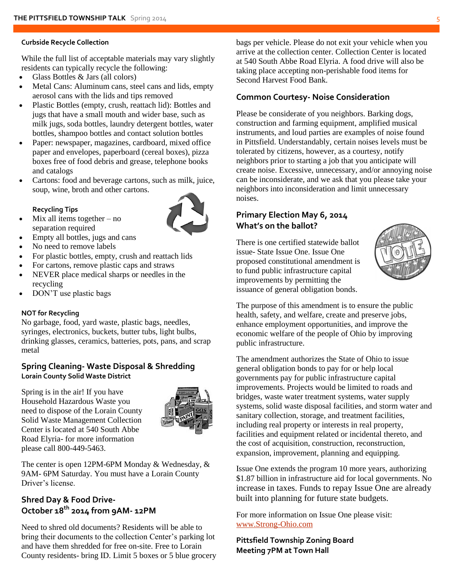#### **Curbside Recycle Collection**

While the full list of acceptable materials may vary slightly residents can typically recycle the following:

- Glass Bottles & Jars (all colors)
- Metal Cans: Aluminum cans, steel cans and lids, empty aerosol cans with the lids and tips removed
- Plastic Bottles (empty, crush, reattach lid): Bottles and jugs that have a small mouth and wider base, such as milk jugs, soda bottles, laundry detergent bottles, water bottles, shampoo bottles and contact solution bottles
- Paper: newspaper, magazines, cardboard, mixed office paper and envelopes, paperboard (cereal boxes), pizza boxes free of food debris and grease, telephone books and catalogs
- Cartons: food and beverage cartons, such as milk, juice, soup, wine, broth and other cartons.

#### **Recycling Tips**

- Mix all items together no separation required
- Empty all bottles, jugs and cans
- No need to remove labels
- For plastic bottles, empty, crush and reattach lids
- For cartons, remove plastic caps and straws
- NEVER place medical sharps or needles in the recycling
- DON'T use plastic bags

#### **NOT for Recycling**

No garbage, food, yard waste, plastic bags, needles, syringes, electronics, buckets, butter tubs, light bulbs, drinking glasses, ceramics, batteries, pots, pans, and scrap metal

#### **Spring Cleaning- Waste Disposal & Shredding Lorain County Solid Waste District**

Spring is in the air! If you have Household Hazardous Waste you need to dispose of the Lorain County Solid Waste Management Collection Center is located at 540 South Abbe Road Elyria- for more information please call 800-449-5463.



The center is open 12PM-6PM Monday & Wednesday, & 9AM- 6PM Saturday. You must have a Lorain County Driver's license.

### **Shred Day & Food Drive-October 18 th 2014 from 9AM- 12PM**

Need to shred old documents? Residents will be able to bring their documents to the collection Center's parking lot and have them shredded for free on-site. Free to Lorain County residents- bring ID. Limit 5 boxes or 5 blue grocery bags per vehicle. Please do not exit your vehicle when you arrive at the collection center. Collection Center is located at 540 South Abbe Road Elyria. A food drive will also be taking place accepting non-perishable food items for Second Harvest Food Bank.

#### **Common Courtesy- Noise Consideration**

Please be considerate of you neighbors. Barking dogs, construction and farming equipment, amplified musical instruments, and loud parties are examples of noise found in Pittsfield. Understandably, certain noises levels must be tolerated by citizens, however, as a courtesy, notify neighbors prior to starting a job that you anticipate will create noise. Excessive, unnecessary, and/or annoying noise can be inconsiderate, and we ask that you please take your neighbors into inconsideration and limit unnecessary noises.

#### **Primary Election May 6, 2014 What's on the ballot?**

There is one certified statewide ballot issue- State Issue One. Issue One proposed constitutional amendment is to fund public infrastructure capital improvements by permitting the issuance of general obligation bonds.



The purpose of this amendment is to ensure the public health, safety, and welfare, create and preserve jobs, enhance employment opportunities, and improve the economic welfare of the people of Ohio by improving public infrastructure.

The amendment authorizes the State of Ohio to issue general obligation bonds to pay for or help local governments pay for public infrastructure capital improvements. Projects would be limited to roads and bridges, waste water treatment systems, water supply systems, solid waste disposal facilities, and storm water and sanitary collection, storage, and treatment facilities, including real property or interests in real property, facilities and equipment related or incidental thereto, and the cost of acquisition, construction, reconstruction, expansion, improvement, planning and equipping.

Issue One extends the program 10 more years, authorizing \$1.87 billion in infrastructure aid for local governments. No increase in taxes. Funds to repay Issue One are already built into planning for future state budgets.

For more information on Issue One please visit: [www.Strong-Ohio.com](http://www.strong-ohio.com/)

**Pittsfield Township Zoning Board Meeting 7PM at Town Hall**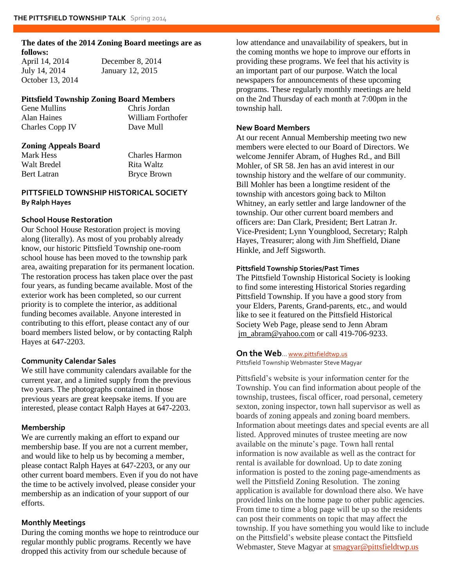#### **The dates of the 2014 Zoning Board meetings are as follows:**

April 14, 2014 December 8, 2014 July 14, 2014 January 12, 2015 October 13, 2014

#### **Pittsfield Township Zoning Board Members**

Gene Mullins Chris Jordan Alan Haines William Forthofer Charles Copp IV Dave Mull

#### **Zoning Appeals Board**

Walt Bredel **Rita Waltz** 

Mark Hess Charles Harmon Bert Latran Bryce Brown

#### **PITTSFIELD TOWNSHIP HISTORICAL SOCIETY By Ralph Hayes**

#### **School House Restoration**

Our School House Restoration project is moving along (literally). As most of you probably already know, our historic Pittsfield Township one-room school house has been moved to the township park area, awaiting preparation for its permanent location. The restoration process has taken place over the past four years, as funding became available. Most of the exterior work has been completed, so our current priority is to complete the interior, as additional funding becomes available. Anyone interested in contributing to this effort, please contact any of our board members listed below, or by contacting Ralph Hayes at 647-2203.

#### **Community Calendar Sales**

We still have community calendars available for the current year, and a limited supply from the previous two years. The photographs contained in those previous years are great keepsake items. If you are interested, please contact Ralph Hayes at 647-2203.

#### **Membership**

We are currently making an effort to expand our membership base. If you are not a current member, and would like to help us by becoming a member, please contact Ralph Hayes at 647-2203, or any our other current board members. Even if you do not have the time to be actively involved, please consider your membership as an indication of your support of our efforts.

#### **Monthly Meetings**

During the coming months we hope to reintroduce our regular monthly public programs. Recently we have dropped this activity from our schedule because of

low attendance and unavailability of speakers, but in the coming months we hope to improve our efforts in providing these programs. We feel that his activity is an important part of our purpose. Watch the local newspapers for announcements of these upcoming programs. These regularly monthly meetings are held on the 2nd Thursday of each month at 7:00pm in the township hall.

#### **New Board Members**

At our recent Annual Membership meeting two new members were elected to our Board of Directors. We welcome Jennifer Abram, of Hughes Rd., and Bill Mohler, of SR 58. Jen has an avid interest in our township history and the welfare of our community. Bill Mohler has been a longtime resident of the township with ancestors going back to Milton Whitney, an early settler and large landowner of the township. Our other current board members and officers are: Dan Clark, President; Bert Latran Jr. Vice-President; Lynn Youngblood, Secretary; Ralph Hayes, Treasurer; along with Jim Sheffield, Diane Hinkle, and Jeff Sigsworth.

#### **Pittsfield Township Stories/Past Times**

The Pittsfield Township Historical Society is looking to find some interesting Historical Stories regarding Pittsfield Township. If you have a good story from your Elders, Parents, Grand-parents, etc., and would like to see it featured on the Pittsfield Historical Society Web Page, please send to Jenn Abram jm\_abram@yahoo.com or call 419-706-9233.

#### **On the Web**… [www.pittsfieldtwp.us](http://www.pittsfieldtwp.us/)

Pittsfield Township Webmaster Steve Magyar

Pittsfield's website is your information center for the Township. You can find information about people of the township, trustees, fiscal officer, road personal, cemetery sexton, zoning inspector, town hall supervisor as well as boards of zoning appeals and zoning board members. Information about meetings dates and special events are all listed. Approved minutes of trustee meeting are now available on the minute's page. Town hall rental information is now available as well as the contract for rental is available for download. Up to date zoning information is posted to the zoning page-amendments as well the Pittsfield Zoning Resolution. The zoning application is available for download there also. We have provided links on the home page to other public agencies. From time to time a blog page will be up so the residents can post their comments on topic that may affect the township. If you have something you would like to include on the Pittsfield's website please contact the Pittsfield Webmaster, Steve Magyar at [smagyar@pittsfieldtwp.us](mailto:smagyar@pittsfieldtwp.us)